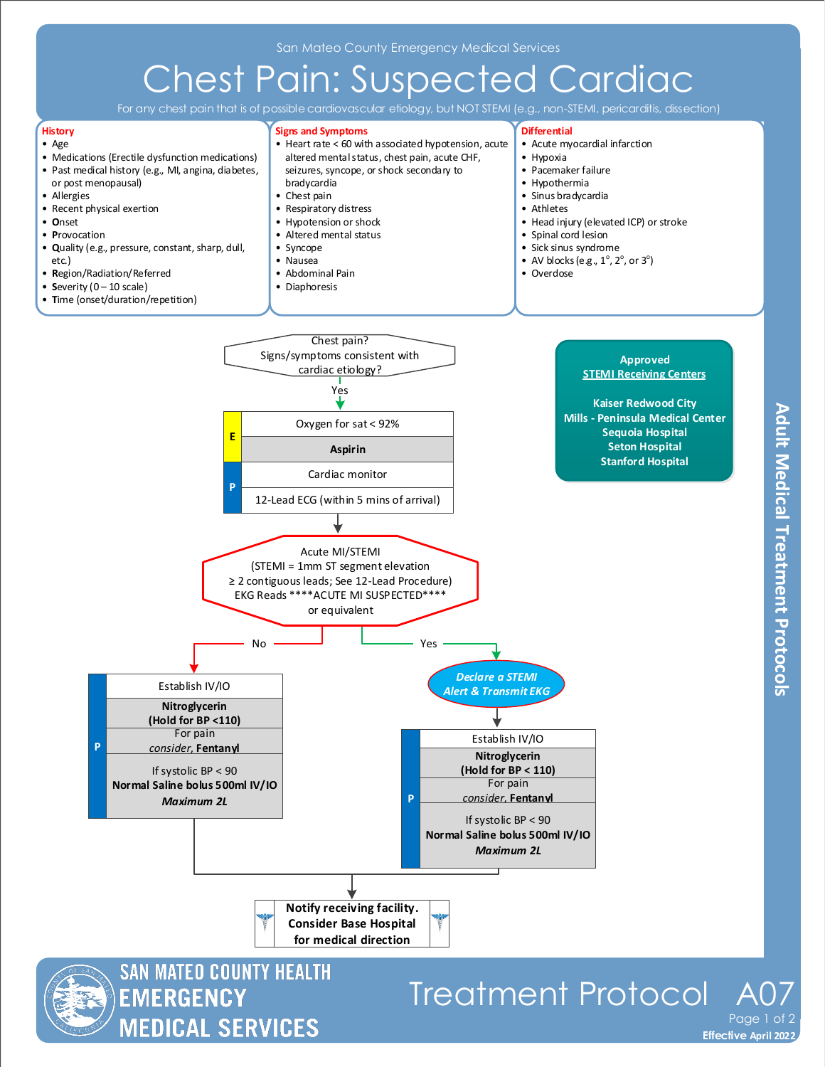# Chest Pain: Suspected Cardiac

For any chest pain that is of possible cardiovascular etiology, but NOT STEMI (e.g., non-STEMI, pericarditis, dissection)



#### • Age

- Medications (Erectile dysfunction medications)
- Past medical history (e.g., MI, angina, diabetes, or post menopausal)
- Allergies
- Recent physical exertion
- **O**nset
- **P**rovocation
- **Q**uality (e.g., pressure, constant, sharp, dull, etc.)
- **R**egion/Radiation/Referred
- **Severity**  $(0 10 \text{ scale})$
- **T**ime (onset/duration/repetition)

**Signs and Symptoms**

- Heart rate < 60 with associated hypotension, acute altered mental status, chest pain, acute CHF, seizures, syncope, or shock secondary to
- bradycardia
- Chest pain
- Respiratory distress
- Hypotension or shock
- Altered mental status
- Syncope
- Nausea
- Abdominal Pain
- Diaphoresis
- **Differential**
	- Acute myocardial infarction
- Hypoxia
- Pacemaker failure
- Hypothermia
- Sinus bradycardia
- Athletes
- Head injury (elevated ICP) or stroke
- Spinal cord lesion
- Sick sinus syndrome
- AV blocks (e.g.,  $1^\circ$ ,  $2^\circ$ , or  $3^\circ$ )
- 
- Overdose





**SAN MATEO COUNTY HEALTH EMERGENCY MEDICAL SERVICES** 

## Treatment Protocol

**Effective November 2018 Effective April 2022** Page 1